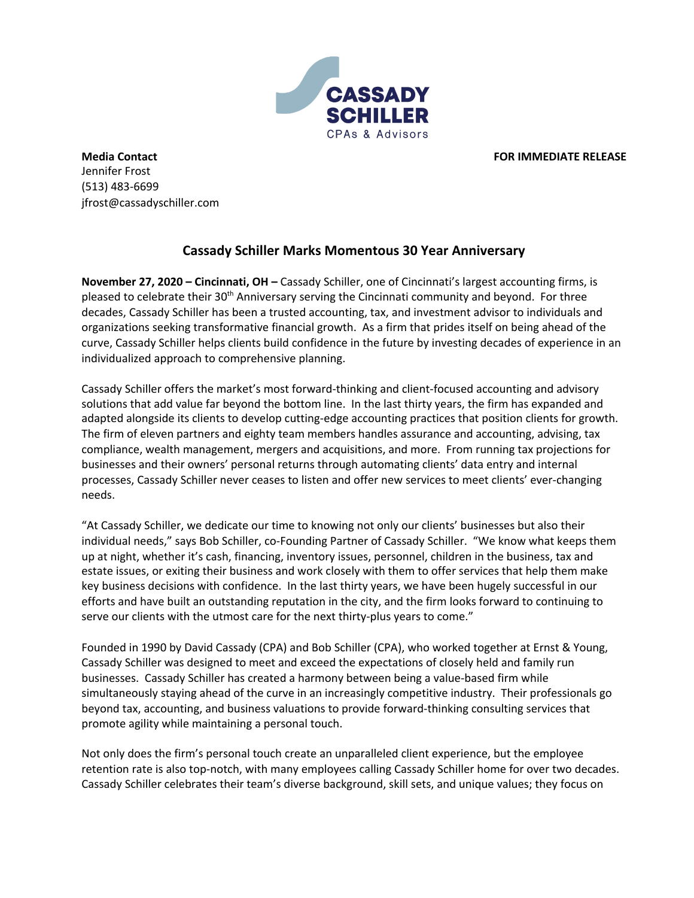

**Media Contact FOR IMMEDIATE RELEASE** Jennifer Frost (513) 483-6699 jfrost@cassadyschiller.com

## **Cassady Schiller Marks Momentous 30 Year Anniversary**

**November 27, 2020 – Cincinnati, OH –** Cassady Schiller, one of Cincinnati's largest accounting firms, is pleased to celebrate their 30<sup>th</sup> Anniversary serving the Cincinnati community and beyond. For three decades, Cassady Schiller has been a trusted accounting, tax, and investment advisor to individuals and organizations seeking transformative financial growth. As a firm that prides itself on being ahead of the curve, Cassady Schiller helps clients build confidence in the future by investing decades of experience in an individualized approach to comprehensive planning.

Cassady Schiller offers the market's most forward-thinking and client-focused accounting and advisory solutions that add value far beyond the bottom line. In the last thirty years, the firm has expanded and adapted alongside its clients to develop cutting-edge accounting practices that position clients for growth. The firm of eleven partners and eighty team members handles assurance and accounting, advising, tax compliance, wealth management, mergers and acquisitions, and more. From running tax projections for businesses and their owners' personal returns through automating clients' data entry and internal processes, Cassady Schiller never ceases to listen and offer new services to meet clients' ever-changing needs.

"At Cassady Schiller, we dedicate our time to knowing not only our clients' businesses but also their individual needs," says Bob Schiller, co-Founding Partner of Cassady Schiller. "We know what keeps them up at night, whether it's cash, financing, inventory issues, personnel, children in the business, tax and estate issues, or exiting their business and work closely with them to offer services that help them make key business decisions with confidence. In the last thirty years, we have been hugely successful in our efforts and have built an outstanding reputation in the city, and the firm looks forward to continuing to serve our clients with the utmost care for the next thirty-plus years to come."

Founded in 1990 by David Cassady (CPA) and Bob Schiller (CPA), who worked together at Ernst & Young, Cassady Schiller was designed to meet and exceed the expectations of closely held and family run businesses. Cassady Schiller has created a harmony between being a value-based firm while simultaneously staying ahead of the curve in an increasingly competitive industry. Their professionals go beyond tax, accounting, and business valuations to provide forward-thinking consulting services that promote agility while maintaining a personal touch.

Not only does the firm's personal touch create an unparalleled client experience, but the employee retention rate is also top-notch, with many employees calling Cassady Schiller home for over two decades. Cassady Schiller celebrates their team's diverse background, skill sets, and unique values; they focus on